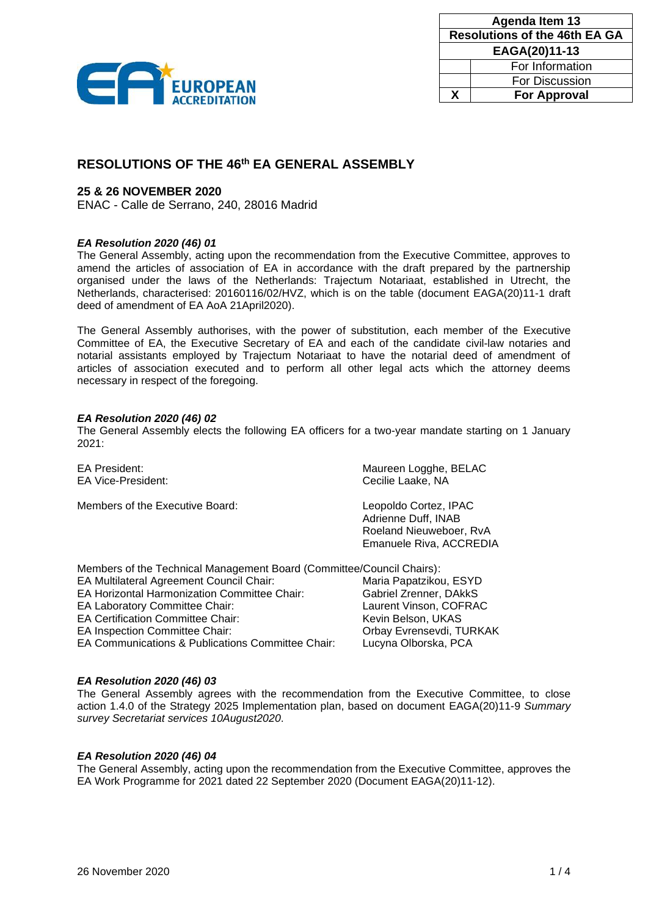

| <b>Agenda Item 13</b>                |                     |  |
|--------------------------------------|---------------------|--|
| <b>Resolutions of the 46th EA GA</b> |                     |  |
| EAGA(20)11-13                        |                     |  |
|                                      | For Information     |  |
|                                      | For Discussion      |  |
| x                                    | <b>For Approval</b> |  |

# **RESOLUTIONS OF THE 46 th EA GENERAL ASSEMBLY**

# **25 & 26 NOVEMBER 2020**

ENAC - Calle de Serrano, 240, 28016 Madrid

# *EA Resolution 2020 (46) 01*

The General Assembly, acting upon the recommendation from the Executive Committee, approves to amend the articles of association of EA in accordance with the draft prepared by the partnership organised under the laws of the Netherlands: Trajectum Notariaat, established in Utrecht, the Netherlands, characterised: 20160116/02/HVZ, which is on the table (document EAGA(20)11-1 draft deed of amendment of EA AoA 21April2020).

The General Assembly authorises, with the power of substitution, each member of the Executive Committee of EA, the Executive Secretary of EA and each of the candidate civil-law notaries and notarial assistants employed by Trajectum Notariaat to have the notarial deed of amendment of articles of association executed and to perform all other legal acts which the attorney deems necessary in respect of the foregoing.

#### *EA Resolution 2020 (46) 02*

The General Assembly elects the following EA officers for a two-year mandate starting on 1 January 2021:

| <b>EA President:</b><br><b>EA Vice-President:</b>                     | Maureen Logghe, BELAC<br>Cecilie Laake, NA                                                         |
|-----------------------------------------------------------------------|----------------------------------------------------------------------------------------------------|
| Members of the Executive Board:                                       | Leopoldo Cortez, IPAC<br>Adrienne Duff, INAB<br>Roeland Nieuweboer, RvA<br>Emanuele Riva, ACCREDIA |
| Members of the Technical Management Board (Committee/Council Chairs): |                                                                                                    |
| <b>EA Multilateral Agreement Council Chair:</b>                       | Maria Papatzikou, ESYD                                                                             |
| <b>EA Horizontal Harmonization Committee Chair:</b>                   | Gabriel Zrenner, DAkkS                                                                             |

EA Certification Committee Chair:

EA Inspection Committee Chair: Chair: Orbay Evrensevdi, TURKAK

EA Communications & Publications Committee Chair: Lucyna Olborska, PCA

EA Laboratory Committee Chair: Laurent Vinson, COFRAC

#### *EA Resolution 2020 (46) 03*

The General Assembly agrees with the recommendation from the Executive Committee, to close action 1.4.0 of the Strategy 2025 Implementation plan, based on document EAGA(20)11-9 *Summary survey Secretariat services 10August2020*.

# *EA Resolution 2020 (46) 04*

The General Assembly, acting upon the recommendation from the Executive Committee, approves the EA Work Programme for 2021 dated 22 September 2020 (Document EAGA(20)11-12).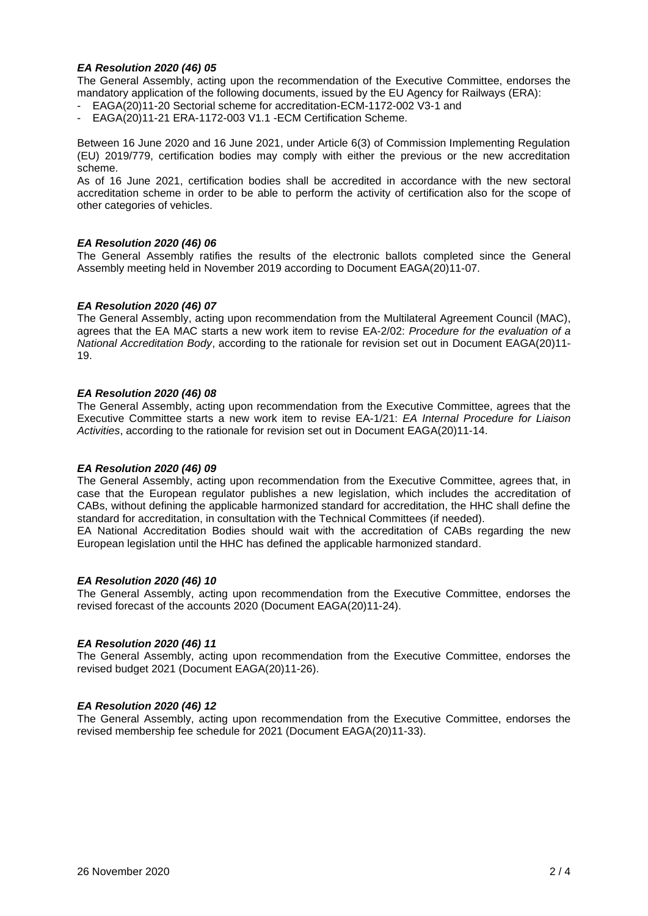# *EA Resolution 2020 (46) 05*

The General Assembly, acting upon the recommendation of the Executive Committee, endorses the mandatory application of the following documents, issued by the EU Agency for Railways (ERA):

- EAGA(20)11-20 Sectorial scheme for accreditation-ECM-1172-002 V3-1 and
- EAGA(20)11-21 ERA-1172-003 V1.1 -ECM Certification Scheme.

Between 16 June 2020 and 16 June 2021, under Article 6(3) of Commission Implementing Regulation (EU) 2019/779, certification bodies may comply with either the previous or the new accreditation scheme.

As of 16 June 2021, certification bodies shall be accredited in accordance with the new sectoral accreditation scheme in order to be able to perform the activity of certification also for the scope of other categories of vehicles.

#### *EA Resolution 2020 (46) 06*

The General Assembly ratifies the results of the electronic ballots completed since the General Assembly meeting held in November 2019 according to Document EAGA(20)11-07.

#### *EA Resolution 2020 (46) 07*

The General Assembly, acting upon recommendation from the Multilateral Agreement Council (MAC), agrees that the EA MAC starts a new work item to revise EA-2/02: *Procedure for the evaluation of a National Accreditation Body*, according to the rationale for revision set out in Document EAGA(20)11- 19.

#### *EA Resolution 2020 (46) 08*

The General Assembly, acting upon recommendation from the Executive Committee, agrees that the Executive Committee starts a new work item to revise EA-1/21: *EA Internal Procedure for Liaison Activities*, according to the rationale for revision set out in Document EAGA(20)11-14.

#### *EA Resolution 2020 (46) 09*

The General Assembly, acting upon recommendation from the Executive Committee, agrees that, in case that the European regulator publishes a new legislation, which includes the accreditation of CABs, without defining the applicable harmonized standard for accreditation, the HHC shall define the standard for accreditation, in consultation with the Technical Committees (if needed).

EA National Accreditation Bodies should wait with the accreditation of CABs regarding the new European legislation until the HHC has defined the applicable harmonized standard.

#### *EA Resolution 2020 (46) 10*

The General Assembly, acting upon recommendation from the Executive Committee, endorses the revised forecast of the accounts 2020 (Document EAGA(20)11-24).

#### *EA Resolution 2020 (46) 11*

The General Assembly, acting upon recommendation from the Executive Committee, endorses the revised budget 2021 (Document EAGA(20)11-26).

#### *EA Resolution 2020 (46) 12*

The General Assembly, acting upon recommendation from the Executive Committee, endorses the revised membership fee schedule for 2021 (Document EAGA(20)11-33).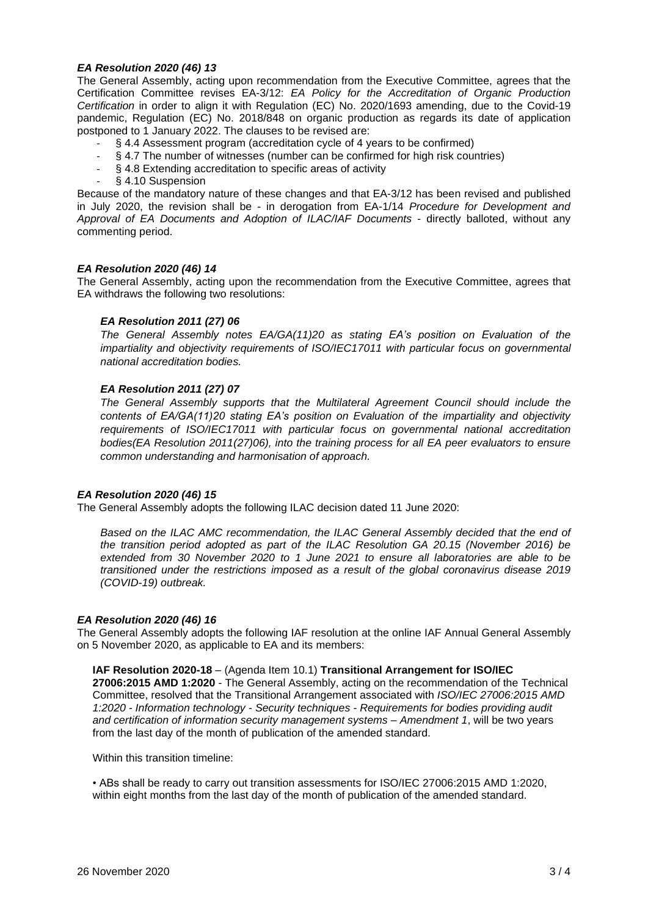# *EA Resolution 2020 (46) 13*

The General Assembly, acting upon recommendation from the Executive Committee, agrees that the Certification Committee revises EA-3/12: *EA Policy for the Accreditation of Organic Production Certification* in order to align it with Regulation (EC) No. 2020/1693 amending, due to the Covid-19 pandemic, Regulation (EC) No. 2018/848 on organic production as regards its date of application postponed to 1 January 2022. The clauses to be revised are:

- § 4.4 Assessment program (accreditation cycle of 4 years to be confirmed)
- § 4.7 The number of witnesses (number can be confirmed for high risk countries)
- § 4.8 Extending accreditation to specific areas of activity
- § 4.10 Suspension

Because of the mandatory nature of these changes and that EA-3/12 has been revised and published in July 2020, the revision shall be - in derogation from EA-1/14 *Procedure for Development and Approval of EA Documents and Adoption of ILAC/IAF Documents* - directly balloted, without any commenting period.

#### *EA Resolution 2020 (46) 14*

The General Assembly, acting upon the recommendation from the Executive Committee, agrees that EA withdraws the following two resolutions:

#### *EA Resolution 2011 (27) 06*

*The General Assembly notes EA/GA(11)20 as stating EA's position on Evaluation of the impartiality and objectivity requirements of ISO/IEC17011 with particular focus on governmental national accreditation bodies.*

## *EA Resolution 2011 (27) 07*

*The General Assembly supports that the Multilateral Agreement Council should include the contents of EA/GA(11)20 stating EA's position on Evaluation of the impartiality and objectivity requirements of ISO/IEC17011 with particular focus on governmental national accreditation bodies(EA Resolution 2011(27)06), into the training process for all EA peer evaluators to ensure common understanding and harmonisation of approach.*

#### *EA Resolution 2020 (46) 15*

The General Assembly adopts the following ILAC decision dated 11 June 2020:

Based on the ILAC AMC recommendation, the ILAC General Assembly decided that the end of *the transition period adopted as part of the ILAC Resolution GA 20.15 (November 2016) be extended from 30 November 2020 to 1 June 2021 to ensure all laboratories are able to be transitioned under the restrictions imposed as a result of the global coronavirus disease 2019 (COVID-19) outbreak.*

#### *EA Resolution 2020 (46) 16*

The General Assembly adopts the following IAF resolution at the online IAF Annual General Assembly on 5 November 2020, as applicable to EA and its members:

**IAF Resolution 2020-18** – (Agenda Item 10.1) **Transitional Arrangement for ISO/IEC 27006:2015 AMD 1:2020** - The General Assembly, acting on the recommendation of the Technical Committee, resolved that the Transitional Arrangement associated with *ISO/IEC 27006:2015 AMD 1:2020 - Information technology - Security techniques - Requirements for bodies providing audit and certification of information security management systems – Amendment 1*, will be two years from the last day of the month of publication of the amended standard.

Within this transition timeline:

• ABs shall be ready to carry out transition assessments for ISO/IEC 27006:2015 AMD 1:2020, within eight months from the last day of the month of publication of the amended standard.